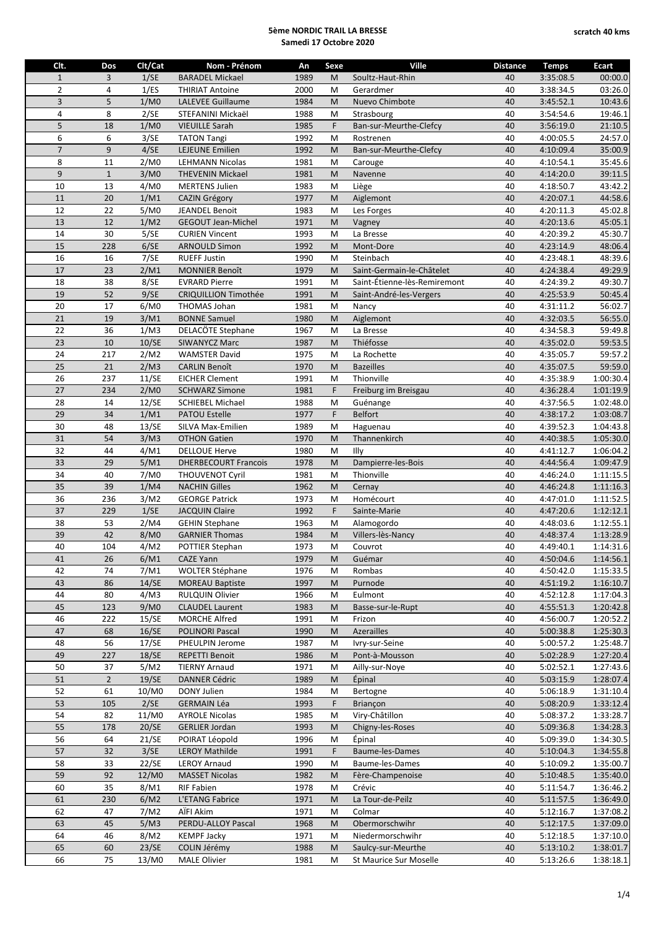| Clt.           | Dos            | Clt/Cat | Nom - Prénom                | An   | Sexe | Ville                        | <b>Distance</b> | <b>Temps</b> | <b>Ecart</b> |
|----------------|----------------|---------|-----------------------------|------|------|------------------------------|-----------------|--------------|--------------|
| $\mathbf{1}$   | 3              | 1/SE    | <b>BARADEL Mickael</b>      | 1989 | M    | Soultz-Haut-Rhin             | 40              | 3:35:08.5    | 00:00.0      |
| $\overline{2}$ | 4              | 1/ES    | <b>THIRIAT Antoine</b>      | 2000 | M    | Gerardmer                    | 40              | 3:38:34.5    | 03:26.0      |
| $\overline{3}$ | 5              | 1/M0    | <b>LALEVEE Guillaume</b>    | 1984 | M    | Nuevo Chimbote               | 40              | 3:45:52.1    | 10:43.6      |
| 4              | 8              | 2/SE    | STEFANINI Mickaël           | 1988 | M    | Strasbourg                   | 40              | 3:54:54.6    | 19:46.1      |
| 5              | 18             | 1/M0    | <b>VIEUILLE Sarah</b>       | 1985 | F    | Ban-sur-Meurthe-Clefcy       | 40              | 3:56:19.0    | 21:10.5      |
| 6              | 6              | 3/SE    | <b>TATON Tangi</b>          | 1992 | M    | Rostrenen                    | 40              | 4:00:05.5    | 24:57.0      |
| $\overline{7}$ | 9              | 4/SE    | LEJEUNE Emilien             | 1992 | M    | Ban-sur-Meurthe-Clefcy       | 40              | 4:10:09.4    | 35:00.9      |
| 8              | 11             | 2/M0    | <b>LEHMANN Nicolas</b>      | 1981 | M    | Carouge                      | 40              | 4:10:54.1    | 35:45.6      |
| 9              | $\mathbf 1$    | 3/M0    | <b>THEVENIN Mickael</b>     | 1981 | M    | Navenne                      | 40              | 4:14:20.0    | 39:11.5      |
| 10             | 13             | 4/M0    | <b>MERTENS Julien</b>       | 1983 | M    | Liège                        | 40              | 4:18:50.7    | 43:42.2      |
| 11             | 20             | 1/M1    | <b>CAZIN Grégory</b>        | 1977 | M    | Aiglemont                    | 40              | 4:20:07.1    | 44:58.6      |
| 12             | 22             | 5/M0    |                             | 1983 | M    |                              | 40              | 4:20:11.3    |              |
| 13             | 12             |         | <b>JEANDEL Benoit</b>       |      |      | Les Forges                   | 40              |              | 45:02.8      |
|                |                | 1/M2    | <b>GEGOUT Jean-Michel</b>   | 1971 | M    | Vagney                       |                 | 4:20:13.6    | 45:05.1      |
| 14             | 30             | 5/SE    | <b>CURIEN Vincent</b>       | 1993 | M    | La Bresse                    | 40              | 4:20:39.2    | 45:30.7      |
| 15             | 228            | 6/SE    | <b>ARNOULD Simon</b>        | 1992 | M    | Mont-Dore                    | 40              | 4:23:14.9    | 48:06.4      |
| 16             | 16             | 7/SE    | <b>RUEFF Justin</b>         | 1990 | M    | Steinbach                    | 40              | 4:23:48.1    | 48:39.6      |
| 17             | 23             | 2/M1    | <b>MONNIER Benoît</b>       | 1979 | M    | Saint-Germain-le-Châtelet    | 40              | 4:24:38.4    | 49:29.9      |
| 18             | 38             | 8/SE    | <b>EVRARD Pierre</b>        | 1991 | M    | Saint-Étienne-lès-Remiremont | 40              | 4:24:39.2    | 49:30.7      |
| 19             | 52             | 9/SE    | <b>CRIQUILLION Timothée</b> | 1991 | M    | Saint-André-les-Vergers      | 40              | 4:25:53.9    | 50:45.4      |
| 20             | 17             | 6/M0    | <b>THOMAS Johan</b>         | 1981 | M    | Nancy                        | 40              | 4:31:11.2    | 56:02.7      |
| 21             | 19             | 3/M1    | <b>BONNE Samuel</b>         | 1980 | M    | Aiglemont                    | 40              | 4:32:03.5    | 56:55.0      |
| 22             | 36             | 1/M3    | DELACÖTE Stephane           | 1967 | M    | La Bresse                    | 40              | 4:34:58.3    | 59:49.8      |
| 23             | 10             | 10/SE   | <b>SIWANYCZ Marc</b>        | 1987 | M    | Thiéfosse                    | 40              | 4:35:02.0    | 59:53.5      |
| 24             | 217            | 2/M2    | <b>WAMSTER David</b>        | 1975 | M    | La Rochette                  | 40              | 4:35:05.7    | 59:57.2      |
| 25             | 21             | 2/M3    | <b>CARLIN Benoît</b>        | 1970 | M    | <b>Bazeilles</b>             | 40              | 4:35:07.5    | 59:59.0      |
| 26             | 237            | 11/SE   | <b>EICHER Clement</b>       | 1991 | M    | Thionville                   | 40              | 4:35:38.9    | 1:00:30.4    |
| 27             | 234            | 2/M0    | <b>SCHWARZ Simone</b>       | 1981 | F    | Freiburg im Breisgau         | 40              | 4:36:28.4    | 1:01:19.9    |
| 28             | 14             | 12/SE   | <b>SCHIEBEL Michael</b>     | 1988 | M    | Guénange                     | 40              | 4:37:56.5    | 1:02:48.0    |
| 29             | 34             | 1/M1    | <b>PATOU Estelle</b>        | 1977 | F    | Belfort                      | 40              | 4:38:17.2    | 1:03:08.7    |
| 30             | 48             | 13/SE   | SILVA Max-Emilien           | 1989 | M    | Haguenau                     | 40              | 4:39:52.3    | 1:04:43.8    |
| 31             | 54             | 3/M3    | <b>OTHON Gatien</b>         | 1970 | M    | Thannenkirch                 | 40              | 4:40:38.5    | 1:05:30.0    |
| 32             | 44             | 4/M1    | <b>DELLOUE Herve</b>        | 1980 | M    | Illy                         | 40              | 4:41:12.7    | 1:06:04.2    |
|                |                |         |                             |      |      |                              | 40              |              |              |
| 33             | 29             | 5/M1    | <b>DHERBECOURT Francois</b> | 1978 | M    | Dampierre-les-Bois           |                 | 4:44:56.4    | 1:09:47.9    |
| 34             | 40             | 7/M0    | <b>THOUVENOT Cyril</b>      | 1981 | M    | Thionville                   | 40              | 4:46:24.0    | 1:11:15.5    |
| 35             | 39             | 1/M4    | <b>NACHIN Gilles</b>        | 1962 | M    | Cernay                       | 40              | 4:46:24.8    | 1:11:16.3    |
| 36             | 236            | 3/M2    | <b>GEORGE Patrick</b>       | 1973 | M    | Homécourt                    | 40              | 4:47:01.0    | 1:11:52.5    |
| 37             | 229            | 1/SE    | <b>JACQUIN Claire</b>       | 1992 | F    | Sainte-Marie                 | 40              | 4:47:20.6    | 1:12:12.1    |
| 38             | 53             | 2/M4    | <b>GEHIN Stephane</b>       | 1963 | M    | Alamogordo                   | 40              | 4:48:03.6    | 1:12:55.1    |
| 39             | 42             | 8/M0    | <b>GARNIER Thomas</b>       | 1984 | M    | Villers-lès-Nancy            | 40              | 4:48:37.4    | 1:13:28.9    |
| 40             | 104            | 4/M2    | POTTIER Stephan             | 1973 | M    | Couvrot                      | 40              | 4:49:40.1    | 1:14:31.6    |
| 41             | 26             | 6/M1    | <b>CAZE Yann</b>            | 1979 | M    | Guémar                       | 40              | 4:50:04.6    | 1:14:56.1    |
| 42             | 74             | 7/M1    | <b>WOLTER Stéphane</b>      | 1976 | M    | Rombas                       | 40              | 4:50:42.0    | 1:15:33.5    |
| 43             | 86             | 14/SE   | <b>MOREAU Baptiste</b>      | 1997 | M    | Purnode                      | 40              | 4:51:19.2    | 1:16:10.7    |
| 44             | 80             | 4/M3    | <b>RULQUIN Olivier</b>      | 1966 | M    | Eulmont                      | 40              | 4:52:12.8    | 1:17:04.3    |
| 45             | 123            | 9/M0    | <b>CLAUDEL Laurent</b>      | 1983 | M    | Basse-sur-le-Rupt            | 40              | 4:55:51.3    | 1:20:42.8    |
| 46             | 222            | 15/SE   | <b>MORCHE Alfred</b>        | 1991 | M    | Frizon                       | 40              | 4:56:00.7    | 1:20:52.2    |
| 47             | 68             | 16/SE   | <b>POLINORI Pascal</b>      | 1990 | M    | Azerailles                   | 40              | 5:00:38.8    | 1:25:30.3    |
| 48             | 56             | 17/SE   | PHEULPIN Jerome             | 1987 | M    | Ivry-sur-Seine               | 40              | 5:00:57.2    | 1:25:48.7    |
| 49             | 227            | 18/SE   | <b>REPETTI Benoit</b>       | 1986 | M    | Pont-à-Mousson               | 40              | 5:02:28.9    | 1:27:20.4    |
| 50             | 37             | 5/M2    | <b>TIERNY Arnaud</b>        | 1971 | M    | Ailly-sur-Nove               | 40              | 5:02:52.1    | 1:27:43.6    |
| 51             | $\overline{2}$ | 19/SE   | <b>DANNER Cédric</b>        | 1989 | M    | Epinal                       | 40              | 5:03:15.9    | 1:28:07.4    |
| 52             | 61             | 10/M0   | DONY Julien                 | 1984 | M    | Bertogne                     | 40              | 5:06:18.9    | 1:31:10.4    |
| 53             | 105            | 2/SE    | <b>GERMAIN Léa</b>          | 1993 | F    | <b>Briancon</b>              | 40              | 5:08:20.9    | 1:33:12.4    |
| 54             | 82             | 11/M0   | <b>AYROLE Nicolas</b>       | 1985 | M    | Viry-Châtillon               | 40              | 5:08:37.2    | 1:33:28.7    |
| 55             | 178            | 20/SE   | <b>GERLIER Jordan</b>       | 1993 | M    | Chigny-les-Roses             | 40              | 5:09:36.8    | 1:34:28.3    |
| 56             |                |         |                             |      |      | Épinal                       |                 |              |              |
|                | 64             | 21/SE   | POIRAT Léopold              | 1996 | M    |                              | 40              | 5:09:39.0    | 1:34:30.5    |
| 57             | 32             | 3/SE    | <b>LEROY Mathilde</b>       | 1991 | F    | Baume-les-Dames              | 40              | 5:10:04.3    | 1:34:55.8    |
| 58             | 33             | 22/SE   | <b>LEROY Arnaud</b>         | 1990 | M    | Baume-les-Dames              | 40              | 5:10:09.2    | 1:35:00.7    |
| 59             | 92             | 12/M0   | <b>MASSET Nicolas</b>       | 1982 | M    | Fère-Champenoise             | 40              | 5:10:48.5    | 1:35:40.0    |
| 60             | 35             | 8/M1    | <b>RIF Fabien</b>           | 1978 | M    | Crévic                       | 40              | 5:11:54.7    | 1:36:46.2    |
| 61             | 230            | 6/M2    | L'ETANG Fabrice             | 1971 | M    | La Tour-de-Peilz             | 40              | 5:11:57.5    | 1:36:49.0    |
| 62             | 47             | 7/M2    | AÏFI Akim                   | 1971 | M    | Colmar                       | 40              | 5:12:16.7    | 1:37:08.2    |
| 63             | 45             | 5/M3    | PERDU-ALLOY Pascal          | 1968 | M    | Obermorschwihr               | 40              | 5:12:17.5    | 1:37:09.0    |
| 64             | 46             | 8/M2    | <b>KEMPF Jacky</b>          | 1971 | M    | Niedermorschwihr             | 40              | 5:12:18.5    | 1:37:10.0    |
| 65             | 60             | 23/SE   | COLIN Jérémy                | 1988 | M    | Saulcy-sur-Meurthe           | 40              | 5:13:10.2    | 1:38:01.7    |
| 66             | 75             | 13/M0   | <b>MALE Olivier</b>         | 1981 | M    | St Maurice Sur Moselle       | 40              | 5:13:26.6    | 1:38:18.1    |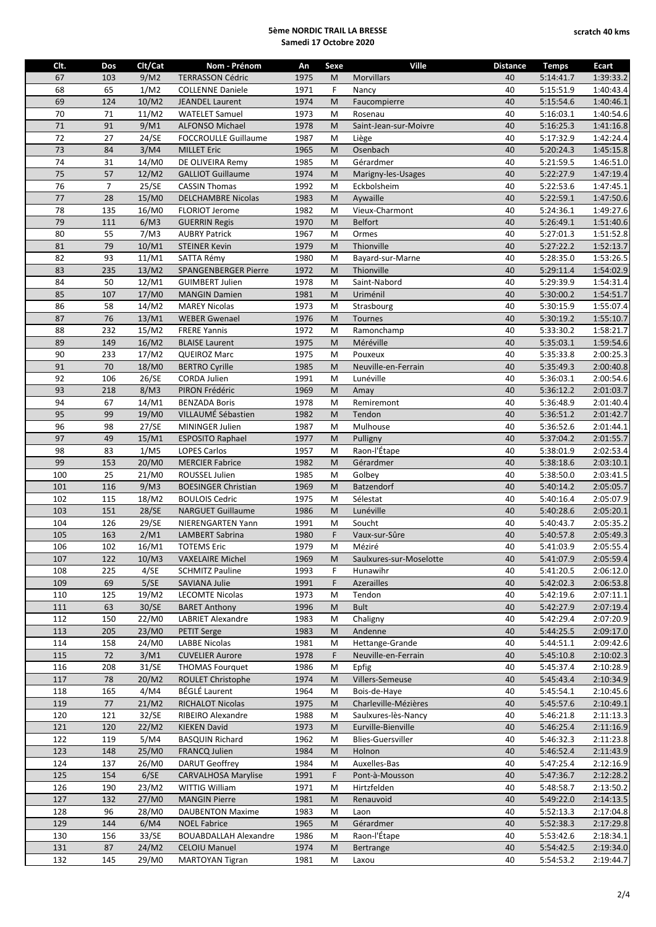| Clt. | Dos            | Clt/Cat           | Nom - Prénom                 | An   | Sexe        | <b>Ville</b>             | <b>Distance</b> | <b>Temps</b> | <b>Ecart</b> |
|------|----------------|-------------------|------------------------------|------|-------------|--------------------------|-----------------|--------------|--------------|
| 67   |                | 9/M2              | <b>TERRASSON Cédric</b>      | 1975 |             |                          |                 | 5:14:41.7    | 1:39:33.2    |
|      | 103            |                   |                              |      | M           | <b>Morvillars</b>        | 40              |              |              |
| 68   | 65             | 1/M2              | <b>COLLENNE Daniele</b>      | 1971 | F           | Nancy                    | 40              | 5:15:51.9    | 1:40:43.4    |
| 69   | 124            | 10/M2             | <b>JEANDEL Laurent</b>       | 1974 | M           | Faucompierre             | 40              | 5:15:54.6    | 1:40:46.1    |
| 70   | 71             | 11/M2             | <b>WATELET Samuel</b>        | 1973 | M           | Rosenau                  | 40              | 5:16:03.1    | 1:40:54.6    |
| 71   | 91             | 9/M1              | <b>ALFONSO Michael</b>       | 1978 | M           | Saint-Jean-sur-Moivre    | 40              | 5:16:25.3    | 1:41:16.8    |
| 72   | 27             | 24/SE             | <b>FOCCROULLE Guillaume</b>  | 1987 | M           | Liège                    | 40              | 5:17:32.9    | 1:42:24.4    |
| 73   | 84             | 3/M4              | <b>MILLET Eric</b>           | 1965 | M           | Osenbach                 | 40              | 5:20:24.3    | 1:45:15.8    |
| 74   |                |                   |                              |      |             |                          |                 |              |              |
|      | 31             | 14/M0             | DE OLIVEIRA Remy             | 1985 | M           | Gérardmer                | 40              | 5:21:59.5    | 1:46:51.0    |
| 75   | 57             | 12/M2             | <b>GALLIOT Guillaume</b>     | 1974 | M           | Marigny-les-Usages       | 40              | 5:22:27.9    | 1:47:19.4    |
| 76   | $\overline{7}$ | 25/SE             | <b>CASSIN Thomas</b>         | 1992 | M           | Eckbolsheim              | 40              | 5:22:53.6    | 1:47:45.1    |
| 77   | 28             | 15/M0             | <b>DELCHAMBRE Nicolas</b>    | 1983 | M           | Aywaille                 | 40              | 5:22:59.1    | 1:47:50.6    |
| 78   | 135            | 16/M0             | <b>FLORIOT Jerome</b>        | 1982 | M           | Vieux-Charmont           | 40              | 5:24:36.1    | 1:49:27.6    |
| 79   | 111            | 6/M3              | <b>GUERRIN Regis</b>         | 1970 | M           | <b>Belfort</b>           | 40              | 5:26:49.1    | 1:51:40.6    |
| 80   | 55             | 7/M3              | <b>AUBRY Patrick</b>         | 1967 | M           | Ormes                    | 40              | 5:27:01.3    | 1:51:52.8    |
|      |                |                   |                              |      |             |                          |                 |              |              |
| 81   | 79             | 10/M1             | <b>STEINER Kevin</b>         | 1979 | M           | Thionville               | 40              | 5:27:22.2    | 1:52:13.7    |
| 82   | 93             | 11/M1             | SATTA Rémy                   | 1980 | M           | Bayard-sur-Marne         | 40              | 5:28:35.0    | 1:53:26.5    |
| 83   | 235            | 13/M2             | <b>SPANGENBERGER Pierre</b>  | 1972 | M           | Thionville               | 40              | 5:29:11.4    | 1:54:02.9    |
| 84   | 50             | 12/M1             | <b>GUIMBERT Julien</b>       | 1978 | M           | Saint-Nabord             | 40              | 5:29:39.9    | 1:54:31.4    |
| 85   | 107            | 17/M0             | <b>MANGIN Damien</b>         | 1981 | M           | Uriménil                 | 40              | 5:30:00.2    | 1:54:51.7    |
| 86   | 58             | 14/M2             | <b>MAREY Nicolas</b>         | 1973 | M           | Strasbourg               | 40              | 5:30:15.9    | 1:55:07.4    |
|      |                |                   |                              |      |             |                          |                 |              |              |
| 87   | 76             | 13/M1             | <b>WEBER Gwenael</b>         | 1976 | M           | Tournes                  | 40              | 5:30:19.2    | 1:55:10.7    |
| 88   | 232            | 15/M2             | <b>FRERE Yannis</b>          | 1972 | M           | Ramonchamp               | 40              | 5:33:30.2    | 1:58:21.7    |
| 89   | 149            | 16/M2             | <b>BLAISE Laurent</b>        | 1975 | M           | Méréville                | 40              | 5:35:03.1    | 1:59:54.6    |
| 90   | 233            | 17/M2             | <b>QUEIROZ Marc</b>          | 1975 | M           | Pouxeux                  | 40              | 5:35:33.8    | 2:00:25.3    |
| 91   | 70             | 18/M0             | <b>BERTRO Cyrille</b>        | 1985 | M           | Neuville-en-Ferrain      | 40              | 5:35:49.3    | 2:00:40.8    |
| 92   | 106            | 26/SE             | <b>CORDA Julien</b>          | 1991 | M           | Lunéville                | 40              | 5:36:03.1    | 2:00:54.6    |
| 93   |                |                   | PIRON Frédéric               |      |             |                          |                 |              |              |
|      | 218            | 8/M3              |                              | 1969 | M           | Amay                     | 40              | 5:36:12.2    | 2:01:03.7    |
| 94   | 67             | 14/M1             | <b>BENZADA Boris</b>         | 1978 | M           | Remiremont               | 40              | 5:36:48.9    | 2:01:40.4    |
| 95   | 99             | 19/M <sub>0</sub> | VILLAUMÉ Sébastien           | 1982 | M           | Tendon                   | 40              | 5:36:51.2    | 2:01:42.7    |
| 96   | 98             | 27/SE             | MININGER Julien              | 1987 | M           | Mulhouse                 | 40              | 5:36:52.6    | 2:01:44.1    |
| 97   | 49             | 15/M1             | <b>ESPOSITO Raphael</b>      | 1977 | M           | Pulligny                 | 40              | 5:37:04.2    | 2:01:55.7    |
| 98   | 83             | 1/M5              | <b>LOPES Carlos</b>          | 1957 | M           | Raon-l'Étape             | 40              | 5:38:01.9    | 2:02:53.4    |
| 99   | 153            | 20/M0             | <b>MERCIER Fabrice</b>       | 1982 | M           | Gérardmer                | 40              | 5:38:18.6    | 2:03:10.1    |
|      |                |                   |                              |      |             |                          |                 |              |              |
| 100  | 25             | 21/M0             | ROUSSEL Julien               | 1985 | M           | Golbey                   | 40              | 5:38:50.0    | 2:03:41.5    |
| 101  | 116            | 9/M3              | <b>BOESINGER Christian</b>   | 1969 | M           | Batzendorf               | 40              | 5:40:14.2    | 2:05:05.7    |
| 102  | 115            | 18/M2             | <b>BOULOIS Cedric</b>        | 1975 | M           | Sélestat                 | 40              | 5:40:16.4    | 2:05:07.9    |
| 103  | 151            | 28/SE             | <b>NARGUET Guillaume</b>     | 1986 | M           | Lunéville                | 40              | 5:40:28.6    | 2:05:20.1    |
| 104  | 126            | 29/SE             | NIERENGARTEN Yann            | 1991 | M           | Soucht                   | 40              | 5:40:43.7    | 2:05:35.2    |
| 105  | 163            | 2/M1              | <b>LAMBERT Sabrina</b>       | 1980 | $\mathsf F$ | Vaux-sur-Sûre            | 40              | 5:40:57.8    | 2:05:49.3    |
|      |                | 16/M1             |                              |      |             |                          |                 |              |              |
| 106  | 102            |                   | <b>TOTEMS Eric</b>           | 1979 | M           | Méziré                   | 40              | 5:41:03.9    | 2:05:55.4    |
| 107  | 122            | 10/M3             | <b>VAXELAIRE Michel</b>      | 1969 | M           | Saulxures-sur-Moselotte  | 40              | 5:41:07.9    | 2:05:59.4    |
| 108  | 225            | 4/SE              | <b>SCHMITZ Pauline</b>       | 1993 | F           | Hunawihr                 | 40              | 5:41:20.5    | 2:06:12.0    |
| 109  | 69             | 5/SE              | <b>SAVIANA Julie</b>         | 1991 | F           | <b>Azerailles</b>        | 40              | 5:42:02.3    | 2:06:53.8    |
| 110  | 125            | 19/M2             | <b>LECOMTE Nicolas</b>       | 1973 | M           | Tendon                   | 40              | 5:42:19.6    | 2:07:11.1    |
| 111  | 63             | 30/SE             | <b>BARET Anthony</b>         | 1996 | M           | <b>Bult</b>              | 40              | 5:42:27.9    | 2:07:19.4    |
| 112  | 150            | 22/M0             | <b>LABRIET Alexandre</b>     |      | M           |                          |                 |              |              |
|      |                |                   |                              | 1983 |             | Chaligny                 | 40              | 5:42:29.4    | 2:07:20.9    |
| 113  | 205            | 23/M0             | <b>PETIT Serge</b>           | 1983 | M           | Andenne                  | 40              | 5:44:25.5    | 2:09:17.0    |
| 114  | 158            | 24/M0             | <b>LABBE Nicolas</b>         | 1981 | M           | Hettange-Grande          | 40              | 5:44:51.1    | 2:09:42.6    |
| 115  | 72             | 3/M1              | <b>CUVELIER Aurore</b>       | 1978 | F           | Neuville-en-Ferrain      | 40              | 5:45:10.8    | 2:10:02.3    |
| 116  | 208            | 31/SE             | <b>THOMAS Fourguet</b>       | 1986 | M           | Epfig                    | 40              | 5:45:37.4    | 2:10:28.9    |
| 117  | 78             | 20/M2             | ROULET Christophe            | 1974 | M           | Villers-Semeuse          | 40              | 5:45:43.4    | 2:10:34.9    |
| 118  | 165            | 4/M4              | <b>BÉGLÉ Laurent</b>         | 1964 | M           | Bois-de-Haye             | 40              | 5:45:54.1    | 2:10:45.6    |
|      |                |                   |                              |      |             |                          |                 |              |              |
| 119  | $77$           | 21/M2             | RICHALOT Nicolas             | 1975 | M           | Charleville-Mézières     | 40              | 5:45:57.6    | 2:10:49.1    |
| 120  | 121            | 32/SE             | RIBEIRO Alexandre            | 1988 | M           | Saulxures-lès-Nancy      | 40              | 5:46:21.8    | 2:11:13.3    |
| 121  | 120            | 22/M2             | <b>KIEKEN David</b>          | 1973 | M           | Eurville-Bienville       | 40              | 5:46:25.4    | 2:11:16.9    |
| 122  | 119            | 5/M4              | <b>BASQUIN Richard</b>       | 1962 | M           | <b>Blies-Guersviller</b> | 40              | 5:46:32.3    | 2:11:23.8    |
| 123  | 148            | 25/M0             | <b>FRANCQ Julien</b>         | 1984 | M           | Holnon                   | 40              | 5:46:52.4    | 2:11:43.9    |
| 124  | 137            | 26/M0             | <b>DARUT Geoffrey</b>        | 1984 | M           | Auxelles-Bas             | 40              | 5:47:25.4    | 2:12:16.9    |
|      |                |                   |                              |      |             |                          |                 |              |              |
| 125  | 154            | 6/SE              | <b>CARVALHOSA Marylise</b>   | 1991 | F           | Pont-à-Mousson           | 40              | 5:47:36.7    | 2:12:28.2    |
| 126  | 190            | 23/M2             | WITTIG William               | 1971 | M           | Hirtzfelden              | 40              | 5:48:58.7    | 2:13:50.2    |
| 127  | 132            | 27/M0             | <b>MANGIN Pierre</b>         | 1981 | M           | Renauvoid                | 40              | 5:49:22.0    | 2:14:13.5    |
| 128  | 96             | 28/M0             | <b>DAUBENTON Maxime</b>      | 1983 | M           | Laon                     | 40              | 5:52:13.3    | 2:17:04.8    |
| 129  | 144            | 6/M4              | <b>NOEL Fabrice</b>          | 1965 | M           | Gérardmer                | 40              | 5:52:38.3    | 2:17:29.8    |
| 130  | 156            | 33/SE             | <b>BOUABDALLAH Alexandre</b> | 1986 | M           | Raon-l'Étape             | 40              | 5:53:42.6    | 2:18:34.1    |
|      |                |                   |                              |      |             |                          |                 |              |              |
| 131  | 87             | 24/M2             | <b>CELOIU Manuel</b>         | 1974 | M           | Bertrange                | 40              | 5:54:42.5    | 2:19:34.0    |
| 132  | 145            | 29/M0             | MARTOYAN Tigran              | 1981 | M           | Laxou                    | 40              | 5:54:53.2    | 2:19:44.7    |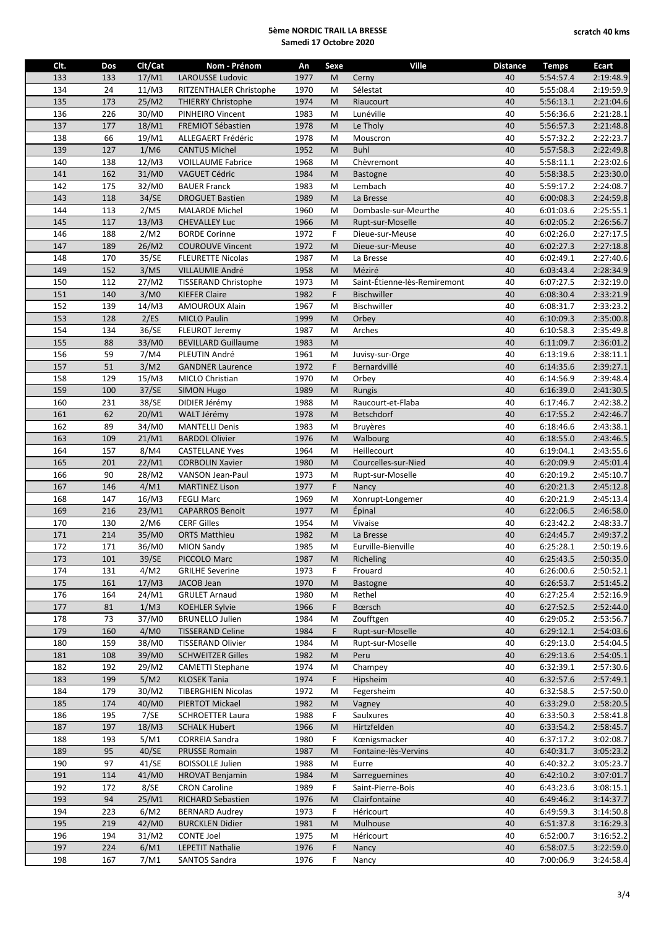| Clt.<br>Clt/Cat<br>Ville<br>Nom - Prénom<br>An<br>Sexe<br><b>LAROUSSE Ludovic</b><br>133<br>133<br>17/M1<br>1977<br>M<br>Cerny<br>134<br>24<br>11/M3<br>1970<br>Sélestat<br>RITZENTHALER Christophe<br>M<br>135<br>173<br>25/M2<br><b>THIERRY Christophe</b><br>1974<br>M<br>Riaucourt<br>136<br>226<br>30/M0<br>1983<br>Lunéville<br>PINHEIRO Vincent<br>M<br>137<br>177<br>18/M1<br><b>FREMIOT Sébastien</b><br>1978<br>M<br>Le Tholy<br>138<br>66<br>19/M1<br>1978<br>M<br>ALLEGAERT Frédéric<br>Mouscron<br>1952<br>139<br>127<br>1/M6<br>M<br><b>Buhl</b><br><b>CANTUS Michel</b><br>140<br>138<br>12/M3<br>1968<br>Chèvremont<br><b>VOILLAUME Fabrice</b><br>M<br>141<br>162<br>31/M0<br>1984<br><b>VAGUET Cédric</b><br>M<br><b>Bastogne</b><br>142<br>32/M0<br>175<br><b>BAUER Franck</b><br>1983<br>M<br>Lembach<br>143<br>34/SE<br>118<br><b>DROGUET Bastien</b><br>1989<br>M<br>La Bresse<br>144<br>113<br>2/M5<br>1960<br>Dombasle-sur-Meurthe<br><b>MALARDE Michel</b><br>M<br>145<br>117<br>13/M3<br>1966<br><b>CHEVALLEY Luc</b><br>M<br>Rupt-sur-Moselle<br>146<br>188<br>F<br>2/M2<br>1972<br><b>BORDE Corinne</b><br>Dieue-sur-Meuse<br>147<br>26/M2<br>189<br><b>COUROUVE Vincent</b><br>1972<br>M<br>Dieue-sur-Meuse<br>148<br>170<br>35/SE<br><b>FLEURETTE Nicolas</b><br>1987<br>M<br>La Bresse<br>3/M5<br>Méziré<br>149<br>152<br>VILLAUMIE André<br>1958<br>M<br>150<br>112<br>27/M2<br>1973<br>Saint-Étienne-lès-Remiremont<br><b>TISSERAND Christophe</b><br>M<br>F<br>151<br>140<br>3/M0<br><b>KIEFER Claire</b><br>1982<br><b>Bischwiller</b><br>152<br>139<br>14/M3<br><b>AMOUROUX Alain</b><br>1967<br>M<br>Bischwiller<br>153<br>2/ES<br>128<br><b>MICLO Paulin</b><br>1999<br>M<br>Orbey<br>154<br>36/SE<br>134<br>FLEUROT Jeremy<br>1987<br>M<br>Arches<br>155<br>88<br>M<br>33/M0<br><b>BEVILLARD Guillaume</b><br>1983<br>156<br>59<br>7/M4<br>PLEUTIN André<br>1961<br>M<br>Juvisy-sur-Orge<br>157<br>51<br>3/M2<br>F<br>1972<br><b>GANDNER Laurence</b><br>Bernardvillé<br>158<br>129<br>15/M3<br>1970<br>MICLO Christian<br>M<br>Orbey<br>159<br>100<br>37/SE<br>1989<br><b>SIMON Hugo</b><br>M<br>Rungis<br>38/SE<br>160<br>231<br>DIDIER Jérémy<br>1988<br>M<br>Raucourt-et-Flaba<br>20/M1<br>161<br>62<br>WALT Jérémy<br>1978<br>M<br>Betschdorf<br>162<br>89<br>34/M0<br><b>MANTELLI Denis</b><br>1983<br>M<br><b>Bruyères</b><br>163<br>109<br>21/M1<br>1976<br>M<br>Walbourg<br><b>BARDOL Olivier</b><br>164<br>157<br>8/M4<br>1964<br><b>CASTELLANE Yves</b><br>M<br>Heillecourt<br>165<br>201<br>22/M1<br>1980<br>Courcelles-sur-Nied<br><b>CORBOLIN Xavier</b><br>M<br>166<br>90<br>28/M2<br>VANSON Jean-Paul<br>1973<br>M<br>Rupt-sur-Moselle<br>167<br>F<br>146<br>4/M1<br><b>MARTINEZ Lison</b><br>1977<br>Nancy<br>168<br>147<br>16/M3<br><b>FEGLI Marc</b><br>1969<br>M<br>Xonrupt-Longemer<br>169<br>216<br>23/M1<br>1977<br><b>CAPARROS Benoit</b><br>M<br><b>Épinal</b><br>2/M6<br><b>CERF Gilles</b><br>Vivaise<br>170<br>130<br>1954<br>M<br>171<br>214<br>35/M0<br>1982<br><b>ORTS Matthieu</b><br>M<br>La Bresse | <b>Distance</b><br><b>Temps</b><br>40<br>5:54:57.4<br>40<br>5:55:08.4<br>40<br>5:56:13.1<br>40<br>5:56:36.6<br>40<br>5:56:57.3<br>40<br>5:57:32.2<br>40<br>5:57:58.3<br>40<br>5:58:11.1<br>40<br>5:58:38.5<br>40<br>5:59:17.2 | Ecart<br>2:19:48.9<br>2:19:59.9<br>2:21:04.6<br>2:21:28.1<br>2:21:48.8<br>2:22:23.7<br>2:22:49.8<br>2:23:02.6<br>2:23:30.0 |
|-----------------------------------------------------------------------------------------------------------------------------------------------------------------------------------------------------------------------------------------------------------------------------------------------------------------------------------------------------------------------------------------------------------------------------------------------------------------------------------------------------------------------------------------------------------------------------------------------------------------------------------------------------------------------------------------------------------------------------------------------------------------------------------------------------------------------------------------------------------------------------------------------------------------------------------------------------------------------------------------------------------------------------------------------------------------------------------------------------------------------------------------------------------------------------------------------------------------------------------------------------------------------------------------------------------------------------------------------------------------------------------------------------------------------------------------------------------------------------------------------------------------------------------------------------------------------------------------------------------------------------------------------------------------------------------------------------------------------------------------------------------------------------------------------------------------------------------------------------------------------------------------------------------------------------------------------------------------------------------------------------------------------------------------------------------------------------------------------------------------------------------------------------------------------------------------------------------------------------------------------------------------------------------------------------------------------------------------------------------------------------------------------------------------------------------------------------------------------------------------------------------------------------------------------------------------------------------------------------------------------------------------------------------------------------------------------------------------------------------------------------------------------------------------------------------------------------------------------------------------------------------------------------------------------------------------------------------------------------------------------------------------------------------------------------------------------------|-------------------------------------------------------------------------------------------------------------------------------------------------------------------------------------------------------------------------------|----------------------------------------------------------------------------------------------------------------------------|
|                                                                                                                                                                                                                                                                                                                                                                                                                                                                                                                                                                                                                                                                                                                                                                                                                                                                                                                                                                                                                                                                                                                                                                                                                                                                                                                                                                                                                                                                                                                                                                                                                                                                                                                                                                                                                                                                                                                                                                                                                                                                                                                                                                                                                                                                                                                                                                                                                                                                                                                                                                                                                                                                                                                                                                                                                                                                                                                                                                                                                                                                             |                                                                                                                                                                                                                               |                                                                                                                            |
|                                                                                                                                                                                                                                                                                                                                                                                                                                                                                                                                                                                                                                                                                                                                                                                                                                                                                                                                                                                                                                                                                                                                                                                                                                                                                                                                                                                                                                                                                                                                                                                                                                                                                                                                                                                                                                                                                                                                                                                                                                                                                                                                                                                                                                                                                                                                                                                                                                                                                                                                                                                                                                                                                                                                                                                                                                                                                                                                                                                                                                                                             |                                                                                                                                                                                                                               |                                                                                                                            |
|                                                                                                                                                                                                                                                                                                                                                                                                                                                                                                                                                                                                                                                                                                                                                                                                                                                                                                                                                                                                                                                                                                                                                                                                                                                                                                                                                                                                                                                                                                                                                                                                                                                                                                                                                                                                                                                                                                                                                                                                                                                                                                                                                                                                                                                                                                                                                                                                                                                                                                                                                                                                                                                                                                                                                                                                                                                                                                                                                                                                                                                                             |                                                                                                                                                                                                                               |                                                                                                                            |
|                                                                                                                                                                                                                                                                                                                                                                                                                                                                                                                                                                                                                                                                                                                                                                                                                                                                                                                                                                                                                                                                                                                                                                                                                                                                                                                                                                                                                                                                                                                                                                                                                                                                                                                                                                                                                                                                                                                                                                                                                                                                                                                                                                                                                                                                                                                                                                                                                                                                                                                                                                                                                                                                                                                                                                                                                                                                                                                                                                                                                                                                             |                                                                                                                                                                                                                               |                                                                                                                            |
|                                                                                                                                                                                                                                                                                                                                                                                                                                                                                                                                                                                                                                                                                                                                                                                                                                                                                                                                                                                                                                                                                                                                                                                                                                                                                                                                                                                                                                                                                                                                                                                                                                                                                                                                                                                                                                                                                                                                                                                                                                                                                                                                                                                                                                                                                                                                                                                                                                                                                                                                                                                                                                                                                                                                                                                                                                                                                                                                                                                                                                                                             |                                                                                                                                                                                                                               |                                                                                                                            |
|                                                                                                                                                                                                                                                                                                                                                                                                                                                                                                                                                                                                                                                                                                                                                                                                                                                                                                                                                                                                                                                                                                                                                                                                                                                                                                                                                                                                                                                                                                                                                                                                                                                                                                                                                                                                                                                                                                                                                                                                                                                                                                                                                                                                                                                                                                                                                                                                                                                                                                                                                                                                                                                                                                                                                                                                                                                                                                                                                                                                                                                                             |                                                                                                                                                                                                                               |                                                                                                                            |
|                                                                                                                                                                                                                                                                                                                                                                                                                                                                                                                                                                                                                                                                                                                                                                                                                                                                                                                                                                                                                                                                                                                                                                                                                                                                                                                                                                                                                                                                                                                                                                                                                                                                                                                                                                                                                                                                                                                                                                                                                                                                                                                                                                                                                                                                                                                                                                                                                                                                                                                                                                                                                                                                                                                                                                                                                                                                                                                                                                                                                                                                             |                                                                                                                                                                                                                               |                                                                                                                            |
|                                                                                                                                                                                                                                                                                                                                                                                                                                                                                                                                                                                                                                                                                                                                                                                                                                                                                                                                                                                                                                                                                                                                                                                                                                                                                                                                                                                                                                                                                                                                                                                                                                                                                                                                                                                                                                                                                                                                                                                                                                                                                                                                                                                                                                                                                                                                                                                                                                                                                                                                                                                                                                                                                                                                                                                                                                                                                                                                                                                                                                                                             |                                                                                                                                                                                                                               |                                                                                                                            |
|                                                                                                                                                                                                                                                                                                                                                                                                                                                                                                                                                                                                                                                                                                                                                                                                                                                                                                                                                                                                                                                                                                                                                                                                                                                                                                                                                                                                                                                                                                                                                                                                                                                                                                                                                                                                                                                                                                                                                                                                                                                                                                                                                                                                                                                                                                                                                                                                                                                                                                                                                                                                                                                                                                                                                                                                                                                                                                                                                                                                                                                                             |                                                                                                                                                                                                                               |                                                                                                                            |
|                                                                                                                                                                                                                                                                                                                                                                                                                                                                                                                                                                                                                                                                                                                                                                                                                                                                                                                                                                                                                                                                                                                                                                                                                                                                                                                                                                                                                                                                                                                                                                                                                                                                                                                                                                                                                                                                                                                                                                                                                                                                                                                                                                                                                                                                                                                                                                                                                                                                                                                                                                                                                                                                                                                                                                                                                                                                                                                                                                                                                                                                             |                                                                                                                                                                                                                               | 2:24:08.7                                                                                                                  |
|                                                                                                                                                                                                                                                                                                                                                                                                                                                                                                                                                                                                                                                                                                                                                                                                                                                                                                                                                                                                                                                                                                                                                                                                                                                                                                                                                                                                                                                                                                                                                                                                                                                                                                                                                                                                                                                                                                                                                                                                                                                                                                                                                                                                                                                                                                                                                                                                                                                                                                                                                                                                                                                                                                                                                                                                                                                                                                                                                                                                                                                                             | 40<br>6:00:08.3                                                                                                                                                                                                               | 2:24:59.8                                                                                                                  |
|                                                                                                                                                                                                                                                                                                                                                                                                                                                                                                                                                                                                                                                                                                                                                                                                                                                                                                                                                                                                                                                                                                                                                                                                                                                                                                                                                                                                                                                                                                                                                                                                                                                                                                                                                                                                                                                                                                                                                                                                                                                                                                                                                                                                                                                                                                                                                                                                                                                                                                                                                                                                                                                                                                                                                                                                                                                                                                                                                                                                                                                                             | 40<br>6:01:03.6                                                                                                                                                                                                               | 2:25:55.1                                                                                                                  |
|                                                                                                                                                                                                                                                                                                                                                                                                                                                                                                                                                                                                                                                                                                                                                                                                                                                                                                                                                                                                                                                                                                                                                                                                                                                                                                                                                                                                                                                                                                                                                                                                                                                                                                                                                                                                                                                                                                                                                                                                                                                                                                                                                                                                                                                                                                                                                                                                                                                                                                                                                                                                                                                                                                                                                                                                                                                                                                                                                                                                                                                                             | 40<br>6:02:05.2                                                                                                                                                                                                               | 2:26:56.7                                                                                                                  |
|                                                                                                                                                                                                                                                                                                                                                                                                                                                                                                                                                                                                                                                                                                                                                                                                                                                                                                                                                                                                                                                                                                                                                                                                                                                                                                                                                                                                                                                                                                                                                                                                                                                                                                                                                                                                                                                                                                                                                                                                                                                                                                                                                                                                                                                                                                                                                                                                                                                                                                                                                                                                                                                                                                                                                                                                                                                                                                                                                                                                                                                                             | 40<br>6:02:26.0                                                                                                                                                                                                               | 2:27:17.5                                                                                                                  |
|                                                                                                                                                                                                                                                                                                                                                                                                                                                                                                                                                                                                                                                                                                                                                                                                                                                                                                                                                                                                                                                                                                                                                                                                                                                                                                                                                                                                                                                                                                                                                                                                                                                                                                                                                                                                                                                                                                                                                                                                                                                                                                                                                                                                                                                                                                                                                                                                                                                                                                                                                                                                                                                                                                                                                                                                                                                                                                                                                                                                                                                                             | 40<br>6:02:27.3                                                                                                                                                                                                               | 2:27:18.8                                                                                                                  |
|                                                                                                                                                                                                                                                                                                                                                                                                                                                                                                                                                                                                                                                                                                                                                                                                                                                                                                                                                                                                                                                                                                                                                                                                                                                                                                                                                                                                                                                                                                                                                                                                                                                                                                                                                                                                                                                                                                                                                                                                                                                                                                                                                                                                                                                                                                                                                                                                                                                                                                                                                                                                                                                                                                                                                                                                                                                                                                                                                                                                                                                                             | 40<br>6:02:49.1                                                                                                                                                                                                               | 2:27:40.6                                                                                                                  |
|                                                                                                                                                                                                                                                                                                                                                                                                                                                                                                                                                                                                                                                                                                                                                                                                                                                                                                                                                                                                                                                                                                                                                                                                                                                                                                                                                                                                                                                                                                                                                                                                                                                                                                                                                                                                                                                                                                                                                                                                                                                                                                                                                                                                                                                                                                                                                                                                                                                                                                                                                                                                                                                                                                                                                                                                                                                                                                                                                                                                                                                                             | 40<br>6:03:43.4                                                                                                                                                                                                               | 2:28:34.9                                                                                                                  |
|                                                                                                                                                                                                                                                                                                                                                                                                                                                                                                                                                                                                                                                                                                                                                                                                                                                                                                                                                                                                                                                                                                                                                                                                                                                                                                                                                                                                                                                                                                                                                                                                                                                                                                                                                                                                                                                                                                                                                                                                                                                                                                                                                                                                                                                                                                                                                                                                                                                                                                                                                                                                                                                                                                                                                                                                                                                                                                                                                                                                                                                                             | 40<br>6:07:27.5                                                                                                                                                                                                               | 2:32:19.0                                                                                                                  |
|                                                                                                                                                                                                                                                                                                                                                                                                                                                                                                                                                                                                                                                                                                                                                                                                                                                                                                                                                                                                                                                                                                                                                                                                                                                                                                                                                                                                                                                                                                                                                                                                                                                                                                                                                                                                                                                                                                                                                                                                                                                                                                                                                                                                                                                                                                                                                                                                                                                                                                                                                                                                                                                                                                                                                                                                                                                                                                                                                                                                                                                                             | 40                                                                                                                                                                                                                            | 2:33:21.9                                                                                                                  |
|                                                                                                                                                                                                                                                                                                                                                                                                                                                                                                                                                                                                                                                                                                                                                                                                                                                                                                                                                                                                                                                                                                                                                                                                                                                                                                                                                                                                                                                                                                                                                                                                                                                                                                                                                                                                                                                                                                                                                                                                                                                                                                                                                                                                                                                                                                                                                                                                                                                                                                                                                                                                                                                                                                                                                                                                                                                                                                                                                                                                                                                                             | 6:08:30.4<br>40<br>6:08:31.7                                                                                                                                                                                                  | 2:33:23.2                                                                                                                  |
|                                                                                                                                                                                                                                                                                                                                                                                                                                                                                                                                                                                                                                                                                                                                                                                                                                                                                                                                                                                                                                                                                                                                                                                                                                                                                                                                                                                                                                                                                                                                                                                                                                                                                                                                                                                                                                                                                                                                                                                                                                                                                                                                                                                                                                                                                                                                                                                                                                                                                                                                                                                                                                                                                                                                                                                                                                                                                                                                                                                                                                                                             |                                                                                                                                                                                                                               |                                                                                                                            |
|                                                                                                                                                                                                                                                                                                                                                                                                                                                                                                                                                                                                                                                                                                                                                                                                                                                                                                                                                                                                                                                                                                                                                                                                                                                                                                                                                                                                                                                                                                                                                                                                                                                                                                                                                                                                                                                                                                                                                                                                                                                                                                                                                                                                                                                                                                                                                                                                                                                                                                                                                                                                                                                                                                                                                                                                                                                                                                                                                                                                                                                                             | 40<br>6:10:09.3                                                                                                                                                                                                               | 2:35:00.8                                                                                                                  |
|                                                                                                                                                                                                                                                                                                                                                                                                                                                                                                                                                                                                                                                                                                                                                                                                                                                                                                                                                                                                                                                                                                                                                                                                                                                                                                                                                                                                                                                                                                                                                                                                                                                                                                                                                                                                                                                                                                                                                                                                                                                                                                                                                                                                                                                                                                                                                                                                                                                                                                                                                                                                                                                                                                                                                                                                                                                                                                                                                                                                                                                                             | 40<br>6:10:58.3                                                                                                                                                                                                               | 2:35:49.8                                                                                                                  |
|                                                                                                                                                                                                                                                                                                                                                                                                                                                                                                                                                                                                                                                                                                                                                                                                                                                                                                                                                                                                                                                                                                                                                                                                                                                                                                                                                                                                                                                                                                                                                                                                                                                                                                                                                                                                                                                                                                                                                                                                                                                                                                                                                                                                                                                                                                                                                                                                                                                                                                                                                                                                                                                                                                                                                                                                                                                                                                                                                                                                                                                                             | 40<br>6:11:09.7                                                                                                                                                                                                               | 2:36:01.2                                                                                                                  |
|                                                                                                                                                                                                                                                                                                                                                                                                                                                                                                                                                                                                                                                                                                                                                                                                                                                                                                                                                                                                                                                                                                                                                                                                                                                                                                                                                                                                                                                                                                                                                                                                                                                                                                                                                                                                                                                                                                                                                                                                                                                                                                                                                                                                                                                                                                                                                                                                                                                                                                                                                                                                                                                                                                                                                                                                                                                                                                                                                                                                                                                                             | 40<br>6:13:19.6                                                                                                                                                                                                               | 2:38:11.1                                                                                                                  |
|                                                                                                                                                                                                                                                                                                                                                                                                                                                                                                                                                                                                                                                                                                                                                                                                                                                                                                                                                                                                                                                                                                                                                                                                                                                                                                                                                                                                                                                                                                                                                                                                                                                                                                                                                                                                                                                                                                                                                                                                                                                                                                                                                                                                                                                                                                                                                                                                                                                                                                                                                                                                                                                                                                                                                                                                                                                                                                                                                                                                                                                                             | 40<br>6:14:35.6                                                                                                                                                                                                               | 2:39:27.1                                                                                                                  |
|                                                                                                                                                                                                                                                                                                                                                                                                                                                                                                                                                                                                                                                                                                                                                                                                                                                                                                                                                                                                                                                                                                                                                                                                                                                                                                                                                                                                                                                                                                                                                                                                                                                                                                                                                                                                                                                                                                                                                                                                                                                                                                                                                                                                                                                                                                                                                                                                                                                                                                                                                                                                                                                                                                                                                                                                                                                                                                                                                                                                                                                                             | 40<br>6:14:56.9                                                                                                                                                                                                               | 2:39:48.4                                                                                                                  |
|                                                                                                                                                                                                                                                                                                                                                                                                                                                                                                                                                                                                                                                                                                                                                                                                                                                                                                                                                                                                                                                                                                                                                                                                                                                                                                                                                                                                                                                                                                                                                                                                                                                                                                                                                                                                                                                                                                                                                                                                                                                                                                                                                                                                                                                                                                                                                                                                                                                                                                                                                                                                                                                                                                                                                                                                                                                                                                                                                                                                                                                                             | 40<br>6:16:39.0                                                                                                                                                                                                               | 2:41:30.5                                                                                                                  |
|                                                                                                                                                                                                                                                                                                                                                                                                                                                                                                                                                                                                                                                                                                                                                                                                                                                                                                                                                                                                                                                                                                                                                                                                                                                                                                                                                                                                                                                                                                                                                                                                                                                                                                                                                                                                                                                                                                                                                                                                                                                                                                                                                                                                                                                                                                                                                                                                                                                                                                                                                                                                                                                                                                                                                                                                                                                                                                                                                                                                                                                                             | 40<br>6:17:46.7                                                                                                                                                                                                               | 2:42:38.2                                                                                                                  |
|                                                                                                                                                                                                                                                                                                                                                                                                                                                                                                                                                                                                                                                                                                                                                                                                                                                                                                                                                                                                                                                                                                                                                                                                                                                                                                                                                                                                                                                                                                                                                                                                                                                                                                                                                                                                                                                                                                                                                                                                                                                                                                                                                                                                                                                                                                                                                                                                                                                                                                                                                                                                                                                                                                                                                                                                                                                                                                                                                                                                                                                                             | 40<br>6:17:55.2                                                                                                                                                                                                               | 2:42:46.7                                                                                                                  |
|                                                                                                                                                                                                                                                                                                                                                                                                                                                                                                                                                                                                                                                                                                                                                                                                                                                                                                                                                                                                                                                                                                                                                                                                                                                                                                                                                                                                                                                                                                                                                                                                                                                                                                                                                                                                                                                                                                                                                                                                                                                                                                                                                                                                                                                                                                                                                                                                                                                                                                                                                                                                                                                                                                                                                                                                                                                                                                                                                                                                                                                                             | 40<br>6:18:46.6                                                                                                                                                                                                               | 2:43:38.1                                                                                                                  |
|                                                                                                                                                                                                                                                                                                                                                                                                                                                                                                                                                                                                                                                                                                                                                                                                                                                                                                                                                                                                                                                                                                                                                                                                                                                                                                                                                                                                                                                                                                                                                                                                                                                                                                                                                                                                                                                                                                                                                                                                                                                                                                                                                                                                                                                                                                                                                                                                                                                                                                                                                                                                                                                                                                                                                                                                                                                                                                                                                                                                                                                                             | 40<br>6:18:55.0                                                                                                                                                                                                               | 2:43:46.5                                                                                                                  |
|                                                                                                                                                                                                                                                                                                                                                                                                                                                                                                                                                                                                                                                                                                                                                                                                                                                                                                                                                                                                                                                                                                                                                                                                                                                                                                                                                                                                                                                                                                                                                                                                                                                                                                                                                                                                                                                                                                                                                                                                                                                                                                                                                                                                                                                                                                                                                                                                                                                                                                                                                                                                                                                                                                                                                                                                                                                                                                                                                                                                                                                                             | 40<br>6:19:04.1                                                                                                                                                                                                               | 2:43:55.6                                                                                                                  |
|                                                                                                                                                                                                                                                                                                                                                                                                                                                                                                                                                                                                                                                                                                                                                                                                                                                                                                                                                                                                                                                                                                                                                                                                                                                                                                                                                                                                                                                                                                                                                                                                                                                                                                                                                                                                                                                                                                                                                                                                                                                                                                                                                                                                                                                                                                                                                                                                                                                                                                                                                                                                                                                                                                                                                                                                                                                                                                                                                                                                                                                                             | 40<br>6:20:09.9                                                                                                                                                                                                               | 2:45:01.4                                                                                                                  |
|                                                                                                                                                                                                                                                                                                                                                                                                                                                                                                                                                                                                                                                                                                                                                                                                                                                                                                                                                                                                                                                                                                                                                                                                                                                                                                                                                                                                                                                                                                                                                                                                                                                                                                                                                                                                                                                                                                                                                                                                                                                                                                                                                                                                                                                                                                                                                                                                                                                                                                                                                                                                                                                                                                                                                                                                                                                                                                                                                                                                                                                                             | 40<br>6:20:19.2                                                                                                                                                                                                               | 2:45:10.7                                                                                                                  |
|                                                                                                                                                                                                                                                                                                                                                                                                                                                                                                                                                                                                                                                                                                                                                                                                                                                                                                                                                                                                                                                                                                                                                                                                                                                                                                                                                                                                                                                                                                                                                                                                                                                                                                                                                                                                                                                                                                                                                                                                                                                                                                                                                                                                                                                                                                                                                                                                                                                                                                                                                                                                                                                                                                                                                                                                                                                                                                                                                                                                                                                                             | 40<br>6:20:21.3                                                                                                                                                                                                               | 2:45:12.8                                                                                                                  |
|                                                                                                                                                                                                                                                                                                                                                                                                                                                                                                                                                                                                                                                                                                                                                                                                                                                                                                                                                                                                                                                                                                                                                                                                                                                                                                                                                                                                                                                                                                                                                                                                                                                                                                                                                                                                                                                                                                                                                                                                                                                                                                                                                                                                                                                                                                                                                                                                                                                                                                                                                                                                                                                                                                                                                                                                                                                                                                                                                                                                                                                                             | 40<br>6:20:21.9                                                                                                                                                                                                               | 2:45:13.4                                                                                                                  |
|                                                                                                                                                                                                                                                                                                                                                                                                                                                                                                                                                                                                                                                                                                                                                                                                                                                                                                                                                                                                                                                                                                                                                                                                                                                                                                                                                                                                                                                                                                                                                                                                                                                                                                                                                                                                                                                                                                                                                                                                                                                                                                                                                                                                                                                                                                                                                                                                                                                                                                                                                                                                                                                                                                                                                                                                                                                                                                                                                                                                                                                                             | 40<br>6:22:06.5                                                                                                                                                                                                               | 2:46:58.0                                                                                                                  |
|                                                                                                                                                                                                                                                                                                                                                                                                                                                                                                                                                                                                                                                                                                                                                                                                                                                                                                                                                                                                                                                                                                                                                                                                                                                                                                                                                                                                                                                                                                                                                                                                                                                                                                                                                                                                                                                                                                                                                                                                                                                                                                                                                                                                                                                                                                                                                                                                                                                                                                                                                                                                                                                                                                                                                                                                                                                                                                                                                                                                                                                                             | 40<br>6:23:42.2                                                                                                                                                                                                               | 2:48:33.7                                                                                                                  |
|                                                                                                                                                                                                                                                                                                                                                                                                                                                                                                                                                                                                                                                                                                                                                                                                                                                                                                                                                                                                                                                                                                                                                                                                                                                                                                                                                                                                                                                                                                                                                                                                                                                                                                                                                                                                                                                                                                                                                                                                                                                                                                                                                                                                                                                                                                                                                                                                                                                                                                                                                                                                                                                                                                                                                                                                                                                                                                                                                                                                                                                                             | 40<br>6:24:45.7                                                                                                                                                                                                               | 2:49:37.2                                                                                                                  |
| 172<br>171<br>36/M0<br>1985<br>M<br><b>MION Sandy</b><br>Eurville-Bienville                                                                                                                                                                                                                                                                                                                                                                                                                                                                                                                                                                                                                                                                                                                                                                                                                                                                                                                                                                                                                                                                                                                                                                                                                                                                                                                                                                                                                                                                                                                                                                                                                                                                                                                                                                                                                                                                                                                                                                                                                                                                                                                                                                                                                                                                                                                                                                                                                                                                                                                                                                                                                                                                                                                                                                                                                                                                                                                                                                                                 | 40<br>6:25:28.1                                                                                                                                                                                                               | 2:50:19.6                                                                                                                  |
| 173<br>39/SE<br>101<br>PICCOLO Marc<br>1987<br>Richeling<br>M                                                                                                                                                                                                                                                                                                                                                                                                                                                                                                                                                                                                                                                                                                                                                                                                                                                                                                                                                                                                                                                                                                                                                                                                                                                                                                                                                                                                                                                                                                                                                                                                                                                                                                                                                                                                                                                                                                                                                                                                                                                                                                                                                                                                                                                                                                                                                                                                                                                                                                                                                                                                                                                                                                                                                                                                                                                                                                                                                                                                               | 6:25:43.5<br>40                                                                                                                                                                                                               | 2:50:35.0                                                                                                                  |
| 174<br>4/M2<br>F<br>Frouard<br>131<br><b>GRILHE Severine</b><br>1973                                                                                                                                                                                                                                                                                                                                                                                                                                                                                                                                                                                                                                                                                                                                                                                                                                                                                                                                                                                                                                                                                                                                                                                                                                                                                                                                                                                                                                                                                                                                                                                                                                                                                                                                                                                                                                                                                                                                                                                                                                                                                                                                                                                                                                                                                                                                                                                                                                                                                                                                                                                                                                                                                                                                                                                                                                                                                                                                                                                                        | 40<br>6:26:00.6                                                                                                                                                                                                               | 2:50:52.1                                                                                                                  |
| 17/M3<br>175<br>161<br>JACOB Jean<br>1970<br>M<br><b>Bastogne</b>                                                                                                                                                                                                                                                                                                                                                                                                                                                                                                                                                                                                                                                                                                                                                                                                                                                                                                                                                                                                                                                                                                                                                                                                                                                                                                                                                                                                                                                                                                                                                                                                                                                                                                                                                                                                                                                                                                                                                                                                                                                                                                                                                                                                                                                                                                                                                                                                                                                                                                                                                                                                                                                                                                                                                                                                                                                                                                                                                                                                           | 6:26:53.7<br>40                                                                                                                                                                                                               | 2:51:45.2                                                                                                                  |
| 176<br>24/M1<br><b>GRULET Arnaud</b><br>1980<br>Rethel<br>164<br>M                                                                                                                                                                                                                                                                                                                                                                                                                                                                                                                                                                                                                                                                                                                                                                                                                                                                                                                                                                                                                                                                                                                                                                                                                                                                                                                                                                                                                                                                                                                                                                                                                                                                                                                                                                                                                                                                                                                                                                                                                                                                                                                                                                                                                                                                                                                                                                                                                                                                                                                                                                                                                                                                                                                                                                                                                                                                                                                                                                                                          | 6:27:25.4<br>40                                                                                                                                                                                                               | 2:52:16.9                                                                                                                  |
| 177<br>F<br>1/M3<br><b>KOEHLER Sylvie</b><br>1966<br>Bœrsch<br>81                                                                                                                                                                                                                                                                                                                                                                                                                                                                                                                                                                                                                                                                                                                                                                                                                                                                                                                                                                                                                                                                                                                                                                                                                                                                                                                                                                                                                                                                                                                                                                                                                                                                                                                                                                                                                                                                                                                                                                                                                                                                                                                                                                                                                                                                                                                                                                                                                                                                                                                                                                                                                                                                                                                                                                                                                                                                                                                                                                                                           | 40<br>6:27:52.5                                                                                                                                                                                                               | 2:52:44.0                                                                                                                  |
| 178<br>73<br>37/M0<br>1984<br>Zoufftgen<br><b>BRUNELLO Julien</b><br>M                                                                                                                                                                                                                                                                                                                                                                                                                                                                                                                                                                                                                                                                                                                                                                                                                                                                                                                                                                                                                                                                                                                                                                                                                                                                                                                                                                                                                                                                                                                                                                                                                                                                                                                                                                                                                                                                                                                                                                                                                                                                                                                                                                                                                                                                                                                                                                                                                                                                                                                                                                                                                                                                                                                                                                                                                                                                                                                                                                                                      | 6:29:05.2<br>40                                                                                                                                                                                                               | 2:53:56.7                                                                                                                  |
| 179<br>160<br>4/M <sub>0</sub><br><b>TISSERAND Celine</b><br>1984<br>F<br>Rupt-sur-Moselle                                                                                                                                                                                                                                                                                                                                                                                                                                                                                                                                                                                                                                                                                                                                                                                                                                                                                                                                                                                                                                                                                                                                                                                                                                                                                                                                                                                                                                                                                                                                                                                                                                                                                                                                                                                                                                                                                                                                                                                                                                                                                                                                                                                                                                                                                                                                                                                                                                                                                                                                                                                                                                                                                                                                                                                                                                                                                                                                                                                  | 40<br>6:29:12.1                                                                                                                                                                                                               | 2:54:03.6                                                                                                                  |
| 180<br>159<br>38/M0<br><b>TISSERAND Olivier</b><br>1984<br>Rupt-sur-Moselle<br>M                                                                                                                                                                                                                                                                                                                                                                                                                                                                                                                                                                                                                                                                                                                                                                                                                                                                                                                                                                                                                                                                                                                                                                                                                                                                                                                                                                                                                                                                                                                                                                                                                                                                                                                                                                                                                                                                                                                                                                                                                                                                                                                                                                                                                                                                                                                                                                                                                                                                                                                                                                                                                                                                                                                                                                                                                                                                                                                                                                                            | 40<br>6:29:13.0                                                                                                                                                                                                               | 2:54:04.5                                                                                                                  |
| <b>SCHWEITZER Gilles</b><br>181<br>108<br>39/M <sub>0</sub><br>1982<br>M<br>Peru                                                                                                                                                                                                                                                                                                                                                                                                                                                                                                                                                                                                                                                                                                                                                                                                                                                                                                                                                                                                                                                                                                                                                                                                                                                                                                                                                                                                                                                                                                                                                                                                                                                                                                                                                                                                                                                                                                                                                                                                                                                                                                                                                                                                                                                                                                                                                                                                                                                                                                                                                                                                                                                                                                                                                                                                                                                                                                                                                                                            | 40<br>6:29:13.6                                                                                                                                                                                                               | 2:54:05.1                                                                                                                  |
| 182<br>192<br>29/M2<br><b>CAMETTI Stephane</b><br>1974<br>Champey<br>M                                                                                                                                                                                                                                                                                                                                                                                                                                                                                                                                                                                                                                                                                                                                                                                                                                                                                                                                                                                                                                                                                                                                                                                                                                                                                                                                                                                                                                                                                                                                                                                                                                                                                                                                                                                                                                                                                                                                                                                                                                                                                                                                                                                                                                                                                                                                                                                                                                                                                                                                                                                                                                                                                                                                                                                                                                                                                                                                                                                                      | 40<br>6:32:39.1                                                                                                                                                                                                               | 2:57:30.6                                                                                                                  |
| 183<br>199<br>5/M2<br><b>KLOSEK Tania</b><br>1974<br>F<br>Hipsheim                                                                                                                                                                                                                                                                                                                                                                                                                                                                                                                                                                                                                                                                                                                                                                                                                                                                                                                                                                                                                                                                                                                                                                                                                                                                                                                                                                                                                                                                                                                                                                                                                                                                                                                                                                                                                                                                                                                                                                                                                                                                                                                                                                                                                                                                                                                                                                                                                                                                                                                                                                                                                                                                                                                                                                                                                                                                                                                                                                                                          | 40<br>6:32:57.6                                                                                                                                                                                                               | 2:57:49.1                                                                                                                  |
| 184<br>179<br>30/M2<br><b>TIBERGHIEN Nicolas</b><br>1972<br>Fegersheim<br>M                                                                                                                                                                                                                                                                                                                                                                                                                                                                                                                                                                                                                                                                                                                                                                                                                                                                                                                                                                                                                                                                                                                                                                                                                                                                                                                                                                                                                                                                                                                                                                                                                                                                                                                                                                                                                                                                                                                                                                                                                                                                                                                                                                                                                                                                                                                                                                                                                                                                                                                                                                                                                                                                                                                                                                                                                                                                                                                                                                                                 | 40<br>6:32:58.5                                                                                                                                                                                                               | 2:57:50.0                                                                                                                  |
| 185<br>174<br>40/M0<br>PIERTOT Mickael<br>1982<br>M<br>Vagney                                                                                                                                                                                                                                                                                                                                                                                                                                                                                                                                                                                                                                                                                                                                                                                                                                                                                                                                                                                                                                                                                                                                                                                                                                                                                                                                                                                                                                                                                                                                                                                                                                                                                                                                                                                                                                                                                                                                                                                                                                                                                                                                                                                                                                                                                                                                                                                                                                                                                                                                                                                                                                                                                                                                                                                                                                                                                                                                                                                                               | 40<br>6:33:29.0                                                                                                                                                                                                               | 2:58:20.5                                                                                                                  |
| 7/SE<br>Saulxures<br>186<br>195<br><b>SCHROETTER Laura</b><br>1988<br>F                                                                                                                                                                                                                                                                                                                                                                                                                                                                                                                                                                                                                                                                                                                                                                                                                                                                                                                                                                                                                                                                                                                                                                                                                                                                                                                                                                                                                                                                                                                                                                                                                                                                                                                                                                                                                                                                                                                                                                                                                                                                                                                                                                                                                                                                                                                                                                                                                                                                                                                                                                                                                                                                                                                                                                                                                                                                                                                                                                                                     | 6:33:50.3<br>40                                                                                                                                                                                                               | 2:58:41.8                                                                                                                  |
| 187<br>197<br><b>SCHALK Hubert</b><br>1966<br>Hirtzfelden<br>18/M3<br>M                                                                                                                                                                                                                                                                                                                                                                                                                                                                                                                                                                                                                                                                                                                                                                                                                                                                                                                                                                                                                                                                                                                                                                                                                                                                                                                                                                                                                                                                                                                                                                                                                                                                                                                                                                                                                                                                                                                                                                                                                                                                                                                                                                                                                                                                                                                                                                                                                                                                                                                                                                                                                                                                                                                                                                                                                                                                                                                                                                                                     | 40<br>6:33:54.2                                                                                                                                                                                                               | 2:58:45.7                                                                                                                  |
| 188<br>193<br>5/M1<br><b>CORREIA Sandra</b><br>F<br>Kœnigsmacker<br>1980                                                                                                                                                                                                                                                                                                                                                                                                                                                                                                                                                                                                                                                                                                                                                                                                                                                                                                                                                                                                                                                                                                                                                                                                                                                                                                                                                                                                                                                                                                                                                                                                                                                                                                                                                                                                                                                                                                                                                                                                                                                                                                                                                                                                                                                                                                                                                                                                                                                                                                                                                                                                                                                                                                                                                                                                                                                                                                                                                                                                    | 40<br>6:37:17.2                                                                                                                                                                                                               | 3:02:08.7                                                                                                                  |
| 189<br>95<br>40/SE<br>1987<br><b>PRUSSE Romain</b><br>M<br>Fontaine-lès-Vervins                                                                                                                                                                                                                                                                                                                                                                                                                                                                                                                                                                                                                                                                                                                                                                                                                                                                                                                                                                                                                                                                                                                                                                                                                                                                                                                                                                                                                                                                                                                                                                                                                                                                                                                                                                                                                                                                                                                                                                                                                                                                                                                                                                                                                                                                                                                                                                                                                                                                                                                                                                                                                                                                                                                                                                                                                                                                                                                                                                                             | 40<br>6:40:31.7                                                                                                                                                                                                               | 3:05:23.2                                                                                                                  |
| 190<br>97<br>41/SE<br><b>BOISSOLLE Julien</b><br>1988<br>Eurre<br>M                                                                                                                                                                                                                                                                                                                                                                                                                                                                                                                                                                                                                                                                                                                                                                                                                                                                                                                                                                                                                                                                                                                                                                                                                                                                                                                                                                                                                                                                                                                                                                                                                                                                                                                                                                                                                                                                                                                                                                                                                                                                                                                                                                                                                                                                                                                                                                                                                                                                                                                                                                                                                                                                                                                                                                                                                                                                                                                                                                                                         | 6:40:32.2<br>40                                                                                                                                                                                                               | 3:05:23.7                                                                                                                  |
| 191<br>114<br>41/M0<br><b>HROVAT Benjamin</b><br>1984<br>Sarreguemines<br>M                                                                                                                                                                                                                                                                                                                                                                                                                                                                                                                                                                                                                                                                                                                                                                                                                                                                                                                                                                                                                                                                                                                                                                                                                                                                                                                                                                                                                                                                                                                                                                                                                                                                                                                                                                                                                                                                                                                                                                                                                                                                                                                                                                                                                                                                                                                                                                                                                                                                                                                                                                                                                                                                                                                                                                                                                                                                                                                                                                                                 | 40<br>6:42:10.2                                                                                                                                                                                                               | 3:07:01.7                                                                                                                  |
| 192<br>8/SE<br><b>CRON Caroline</b><br>F<br>Saint-Pierre-Bois<br>172<br>1989                                                                                                                                                                                                                                                                                                                                                                                                                                                                                                                                                                                                                                                                                                                                                                                                                                                                                                                                                                                                                                                                                                                                                                                                                                                                                                                                                                                                                                                                                                                                                                                                                                                                                                                                                                                                                                                                                                                                                                                                                                                                                                                                                                                                                                                                                                                                                                                                                                                                                                                                                                                                                                                                                                                                                                                                                                                                                                                                                                                                | 6:43:23.6<br>40                                                                                                                                                                                                               | 3:08:15.1                                                                                                                  |
| 193<br>94<br>25/M1<br>RICHARD Sebastien<br>1976<br>Clairfontaine<br>M                                                                                                                                                                                                                                                                                                                                                                                                                                                                                                                                                                                                                                                                                                                                                                                                                                                                                                                                                                                                                                                                                                                                                                                                                                                                                                                                                                                                                                                                                                                                                                                                                                                                                                                                                                                                                                                                                                                                                                                                                                                                                                                                                                                                                                                                                                                                                                                                                                                                                                                                                                                                                                                                                                                                                                                                                                                                                                                                                                                                       | 6:49:46.2<br>40                                                                                                                                                                                                               | 3:14:37.7                                                                                                                  |
| 194<br>223<br>6/M2<br>Héricourt<br>1973<br>F<br><b>BERNARD Audrey</b>                                                                                                                                                                                                                                                                                                                                                                                                                                                                                                                                                                                                                                                                                                                                                                                                                                                                                                                                                                                                                                                                                                                                                                                                                                                                                                                                                                                                                                                                                                                                                                                                                                                                                                                                                                                                                                                                                                                                                                                                                                                                                                                                                                                                                                                                                                                                                                                                                                                                                                                                                                                                                                                                                                                                                                                                                                                                                                                                                                                                       | 40<br>6:49:59.3                                                                                                                                                                                                               | 3:14:50.8                                                                                                                  |
| 195<br>219<br>42/M0<br><b>BURCKLEN Didier</b><br>Mulhouse<br>1981<br>M                                                                                                                                                                                                                                                                                                                                                                                                                                                                                                                                                                                                                                                                                                                                                                                                                                                                                                                                                                                                                                                                                                                                                                                                                                                                                                                                                                                                                                                                                                                                                                                                                                                                                                                                                                                                                                                                                                                                                                                                                                                                                                                                                                                                                                                                                                                                                                                                                                                                                                                                                                                                                                                                                                                                                                                                                                                                                                                                                                                                      | 40<br>6:51:37.8                                                                                                                                                                                                               | 3:16:29.3                                                                                                                  |
| 196<br>194<br><b>CONTE Joel</b><br>Héricourt<br>31/M2<br>1975<br>M                                                                                                                                                                                                                                                                                                                                                                                                                                                                                                                                                                                                                                                                                                                                                                                                                                                                                                                                                                                                                                                                                                                                                                                                                                                                                                                                                                                                                                                                                                                                                                                                                                                                                                                                                                                                                                                                                                                                                                                                                                                                                                                                                                                                                                                                                                                                                                                                                                                                                                                                                                                                                                                                                                                                                                                                                                                                                                                                                                                                          | 40<br>6:52:00.7                                                                                                                                                                                                               | 3:16:52.2                                                                                                                  |
| 6/M1<br><b>LEPETIT Nathalie</b><br>F<br>197<br>224<br>1976<br>Nancy                                                                                                                                                                                                                                                                                                                                                                                                                                                                                                                                                                                                                                                                                                                                                                                                                                                                                                                                                                                                                                                                                                                                                                                                                                                                                                                                                                                                                                                                                                                                                                                                                                                                                                                                                                                                                                                                                                                                                                                                                                                                                                                                                                                                                                                                                                                                                                                                                                                                                                                                                                                                                                                                                                                                                                                                                                                                                                                                                                                                         | 6:58:07.5<br>40                                                                                                                                                                                                               | 3:22:59.0                                                                                                                  |
| 198<br>7/M1<br>SANTOS Sandra<br>1976<br>F<br>167<br>Nancy                                                                                                                                                                                                                                                                                                                                                                                                                                                                                                                                                                                                                                                                                                                                                                                                                                                                                                                                                                                                                                                                                                                                                                                                                                                                                                                                                                                                                                                                                                                                                                                                                                                                                                                                                                                                                                                                                                                                                                                                                                                                                                                                                                                                                                                                                                                                                                                                                                                                                                                                                                                                                                                                                                                                                                                                                                                                                                                                                                                                                   |                                                                                                                                                                                                                               |                                                                                                                            |